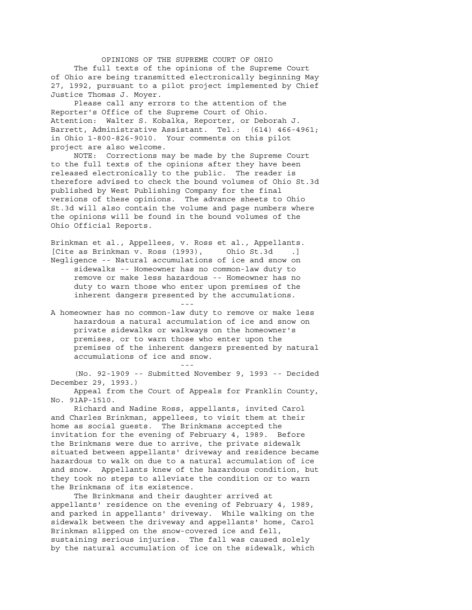OPINIONS OF THE SUPREME COURT OF OHIO The full texts of the opinions of the Supreme Court of Ohio are being transmitted electronically beginning May 27, 1992, pursuant to a pilot project implemented by Chief Justice Thomas J. Moyer.

 Please call any errors to the attention of the Reporter's Office of the Supreme Court of Ohio. Attention: Walter S. Kobalka, Reporter, or Deborah J. Barrett, Administrative Assistant. Tel.: (614) 466-4961; in Ohio 1-800-826-9010. Your comments on this pilot project are also welcome.

 NOTE: Corrections may be made by the Supreme Court to the full texts of the opinions after they have been released electronically to the public. The reader is therefore advised to check the bound volumes of Ohio St.3d published by West Publishing Company for the final versions of these opinions. The advance sheets to Ohio St.3d will also contain the volume and page numbers where the opinions will be found in the bound volumes of the Ohio Official Reports.

Brinkman et al., Appellees, v. Ross et al., Appellants. [Cite as Brinkman v. Ross (1993), Ohio St.3d .] Negligence -- Natural accumulations of ice and snow on sidewalks -- Homeowner has no common-law duty to remove or make less hazardous -- Homeowner has no duty to warn those who enter upon premises of the inherent dangers presented by the accumulations. and the state of the state of the state of the state of the state of the state of the state of the state of th

A homeowner has no common-law duty to remove or make less hazardous a natural accumulation of ice and snow on private sidewalks or walkways on the homeowner's premises, or to warn those who enter upon the premises of the inherent dangers presented by natural accumulations of ice and snow.

 (No. 92-1909 -- Submitted November 9, 1993 -- Decided December 29, 1993.)

and the state of the state of the state of the state of the state of the state of the state of the state of th

 Appeal from the Court of Appeals for Franklin County, No. 91AP-1510.

 Richard and Nadine Ross, appellants, invited Carol and Charles Brinkman, appellees, to visit them at their home as social guests. The Brinkmans accepted the invitation for the evening of February 4, 1989. Before the Brinkmans were due to arrive, the private sidewalk situated between appellants' driveway and residence became hazardous to walk on due to a natural accumulation of ice and snow. Appellants knew of the hazardous condition, but they took no steps to alleviate the condition or to warn the Brinkmans of its existence.

 The Brinkmans and their daughter arrived at appellants' residence on the evening of February 4, 1989, and parked in appellants' driveway. While walking on the sidewalk between the driveway and appellants' home, Carol Brinkman slipped on the snow-covered ice and fell, sustaining serious injuries. The fall was caused solely by the natural accumulation of ice on the sidewalk, which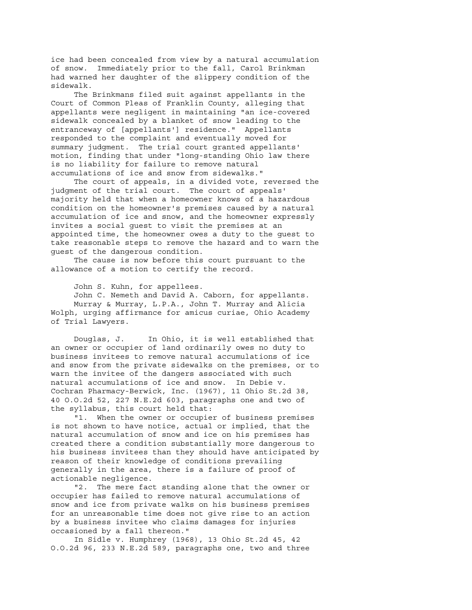ice had been concealed from view by a natural accumulation of snow. Immediately prior to the fall, Carol Brinkman had warned her daughter of the slippery condition of the sidewalk.

 The Brinkmans filed suit against appellants in the Court of Common Pleas of Franklin County, alleging that appellants were negligent in maintaining "an ice-covered sidewalk concealed by a blanket of snow leading to the entranceway of [appellants'] residence." Appellants responded to the complaint and eventually moved for summary judgment. The trial court granted appellants' motion, finding that under "long-standing Ohio law there is no liability for failure to remove natural accumulations of ice and snow from sidewalks."

 The court of appeals, in a divided vote, reversed the judgment of the trial court. The court of appeals' majority held that when a homeowner knows of a hazardous condition on the homeowner's premises caused by a natural accumulation of ice and snow, and the homeowner expressly invites a social guest to visit the premises at an appointed time, the homeowner owes a duty to the guest to take reasonable steps to remove the hazard and to warn the guest of the dangerous condition.

 The cause is now before this court pursuant to the allowance of a motion to certify the record.

John S. Kuhn, for appellees.

 John C. Nemeth and David A. Caborn, for appellants. Murray & Murray, L.P.A., John T. Murray and Alicia Wolph, urging affirmance for amicus curiae, Ohio Academy of Trial Lawyers.

 Douglas, J. In Ohio, it is well established that an owner or occupier of land ordinarily owes no duty to business invitees to remove natural accumulations of ice and snow from the private sidewalks on the premises, or to warn the invitee of the dangers associated with such natural accumulations of ice and snow. In Debie v. Cochran Pharmacy-Berwick, Inc. (1967), 11 Ohio St.2d 38, 40 O.O.2d 52, 227 N.E.2d 603, paragraphs one and two of the syllabus, this court held that:

 "1. When the owner or occupier of business premises is not shown to have notice, actual or implied, that the natural accumulation of snow and ice on his premises has created there a condition substantially more dangerous to his business invitees than they should have anticipated by reason of their knowledge of conditions prevailing generally in the area, there is a failure of proof of actionable negligence.

 "2. The mere fact standing alone that the owner or occupier has failed to remove natural accumulations of snow and ice from private walks on his business premises for an unreasonable time does not give rise to an action by a business invitee who claims damages for injuries occasioned by a fall thereon."

 In Sidle v. Humphrey (1968), 13 Ohio St.2d 45, 42 O.O.2d 96, 233 N.E.2d 589, paragraphs one, two and three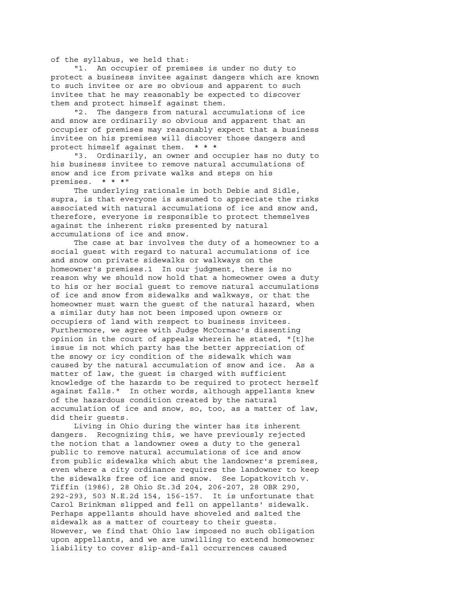of the syllabus, we held that:

 "1. An occupier of premises is under no duty to protect a business invitee against dangers which are known to such invitee or are so obvious and apparent to such invitee that he may reasonably be expected to discover them and protect himself against them.

 "2. The dangers from natural accumulations of ice and snow are ordinarily so obvious and apparent that an occupier of premises may reasonably expect that a business invitee on his premises will discover those dangers and protect himself against them. \* \* \*

 "3. Ordinarily, an owner and occupier has no duty to his business invitee to remove natural accumulations of snow and ice from private walks and steps on his premises. \* \* \*"

 The underlying rationale in both Debie and Sidle, supra, is that everyone is assumed to appreciate the risks associated with natural accumulations of ice and snow and, therefore, everyone is responsible to protect themselves against the inherent risks presented by natural accumulations of ice and snow.

 The case at bar involves the duty of a homeowner to a social guest with regard to natural accumulations of ice and snow on private sidewalks or walkways on the homeowner's premises.1 In our judgment, there is no reason why we should now hold that a homeowner owes a duty to his or her social guest to remove natural accumulations of ice and snow from sidewalks and walkways, or that the homeowner must warn the guest of the natural hazard, when a similar duty has not been imposed upon owners or occupiers of land with respect to business invitees. Furthermore, we agree with Judge McCormac's dissenting opinion in the court of appeals wherein he stated, "[t]he issue is not which party has the better appreciation of the snowy or icy condition of the sidewalk which was caused by the natural accumulation of snow and ice. As a matter of law, the guest is charged with sufficient knowledge of the hazards to be required to protect herself against falls." In other words, although appellants knew of the hazardous condition created by the natural accumulation of ice and snow, so, too, as a matter of law, did their guests.

 Living in Ohio during the winter has its inherent dangers. Recognizing this, we have previously rejected the notion that a landowner owes a duty to the general public to remove natural accumulations of ice and snow from public sidewalks which abut the landowner's premises, even where a city ordinance requires the landowner to keep the sidewalks free of ice and snow. See Lopatkovitch v. Tiffin (1986), 28 Ohio St.3d 204, 206-207, 28 OBR 290, 292-293, 503 N.E.2d 154, 156-157. It is unfortunate that Carol Brinkman slipped and fell on appellants' sidewalk. Perhaps appellants should have shoveled and salted the sidewalk as a matter of courtesy to their guests. However, we find that Ohio law imposed no such obligation upon appellants, and we are unwilling to extend homeowner liability to cover slip-and-fall occurrences caused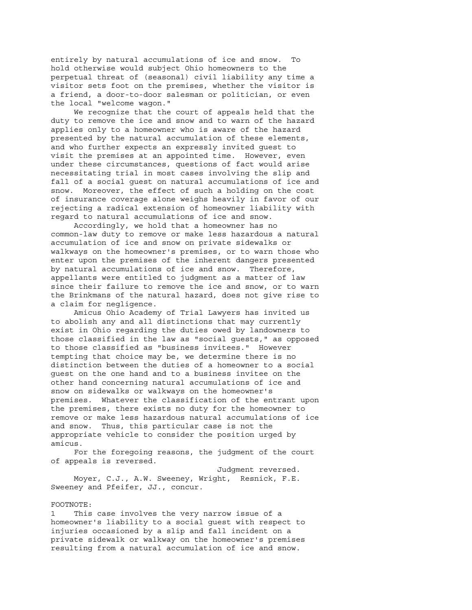entirely by natural accumulations of ice and snow. To hold otherwise would subject Ohio homeowners to the perpetual threat of (seasonal) civil liability any time a visitor sets foot on the premises, whether the visitor is a friend, a door-to-door salesman or politician, or even the local "welcome wagon."

 We recognize that the court of appeals held that the duty to remove the ice and snow and to warn of the hazard applies only to a homeowner who is aware of the hazard presented by the natural accumulation of these elements, and who further expects an expressly invited guest to visit the premises at an appointed time. However, even under these circumstances, questions of fact would arise necessitating trial in most cases involving the slip and fall of a social guest on natural accumulations of ice and snow. Moreover, the effect of such a holding on the cost of insurance coverage alone weighs heavily in favor of our rejecting a radical extension of homeowner liability with regard to natural accumulations of ice and snow.

 Accordingly, we hold that a homeowner has no common-law duty to remove or make less hazardous a natural accumulation of ice and snow on private sidewalks or walkways on the homeowner's premises, or to warn those who enter upon the premises of the inherent dangers presented by natural accumulations of ice and snow. Therefore, appellants were entitled to judgment as a matter of law since their failure to remove the ice and snow, or to warn the Brinkmans of the natural hazard, does not give rise to a claim for negligence.

 Amicus Ohio Academy of Trial Lawyers has invited us to abolish any and all distinctions that may currently exist in Ohio regarding the duties owed by landowners to those classified in the law as "social guests," as opposed to those classified as "business invitees." However tempting that choice may be, we determine there is no distinction between the duties of a homeowner to a social guest on the one hand and to a business invitee on the other hand concerning natural accumulations of ice and snow on sidewalks or walkways on the homeowner's premises. Whatever the classification of the entrant upon the premises, there exists no duty for the homeowner to remove or make less hazardous natural accumulations of ice and snow. Thus, this particular case is not the appropriate vehicle to consider the position urged by amicus.

 For the foregoing reasons, the judgment of the court of appeals is reversed.

 Judgment reversed. Moyer, C.J., A.W. Sweeney, Wright, Resnick, F.E. Sweeney and Pfeifer, JJ., concur.

## FOOTNOTE:

1 This case involves the very narrow issue of a homeowner's liability to a social guest with respect to injuries occasioned by a slip and fall incident on a private sidewalk or walkway on the homeowner's premises resulting from a natural accumulation of ice and snow.